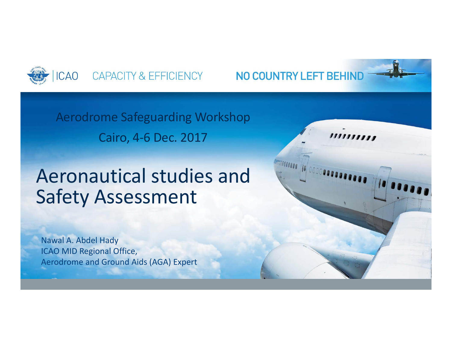

NO COUNTRY LEFT BEHIND

MICOCOOOO TO 000000000

,,,,,,,,,,

Aerodrome Safeguarding Workshop Cairo, 4‐6 Dec. 2017

# Aeronautical studies and Safety Assessment

Nawal A. Abdel Hady ICAO MID Regional Office, Aerodrome and Ground Aids (AGA) Expert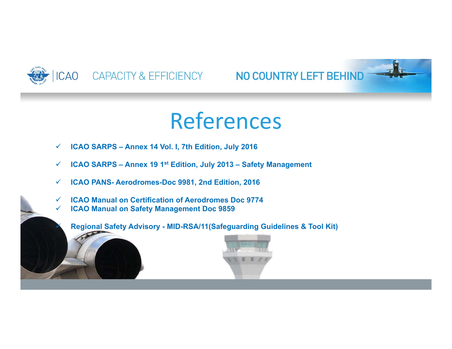

 $\checkmark$ 

## CAO CAPACITY & EFFICIENCY NO COUNTRY LEFT BEHIND

# References

- $\checkmark$ **ICAO SARPS – Annex 14 Vol. I, 7th Edition, July 2016**
- $\checkmark$ **ICAO SARPS – Annex 19 1st Edition, July 2013 – Safety Management**
- $\checkmark$ **ICAO PANS- Aerodromes-Doc 9981, 2nd Edition, 2016**
- $\checkmark$ **ICAO Manual on Certification of Aerodromes Doc 9774**
- $\checkmark$ **ICAO Manual on Safety Management Doc 9859**

**Regional Safety Advisory - MID-RSA/11(Safeguarding Guidelines & Tool Kit)**

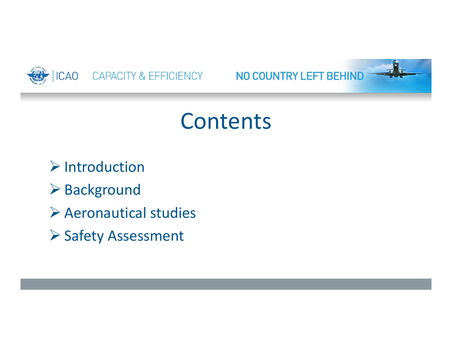

# NO COUNTRY LEFT BEHIND

# Contents

 $\triangleright$  Introduction

- **▶ Background**
- Aeronautical studies
- ▶ Safety Assessment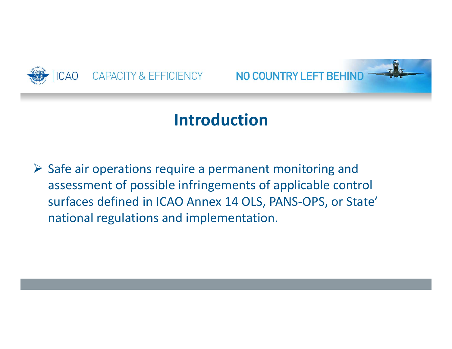

NO COUNTRY LEFT BEHIND

# **Introduction**

 $\triangleright$  Safe air operations require a permanent monitoring and assessment of possible infringements of applicable control surfaces defined in ICAO Annex 14 OLS, PANS‐OPS, or State' national regulations and implementation.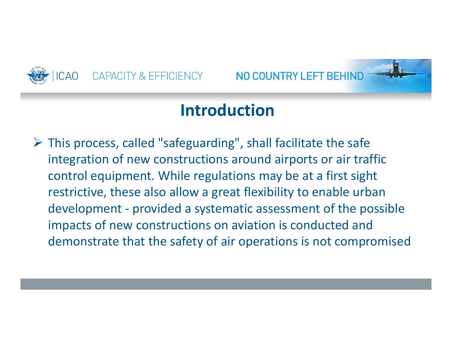

NO COUNTRY LEFT BEHIND

# **Introduction**

 This process, called "safeguarding", shall facilitate the safe integration of new constructions around airports or air traffic control equipment. While regulations may be at a first sight restrictive, these also allow a great flexibility to enable urban development ‐ provided a systematic assessment of the possible impacts of new constructions on aviation is conducted and demonstrate that the safety of air operations is not compromised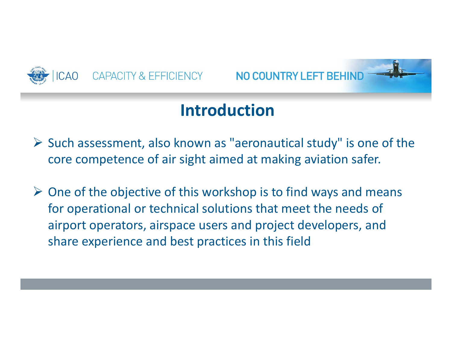

NO COUNTRY LEFT BEHIND



- $\triangleright$  Such assessment, also known as "aeronautical study" is one of the core competence of air sight aimed at making aviation safer.
- $\triangleright$  One of the objective of this workshop is to find ways and means for operational or technical solutions that meet the needs of airport operators, airspace users and project developers, and share experience and best practices in this field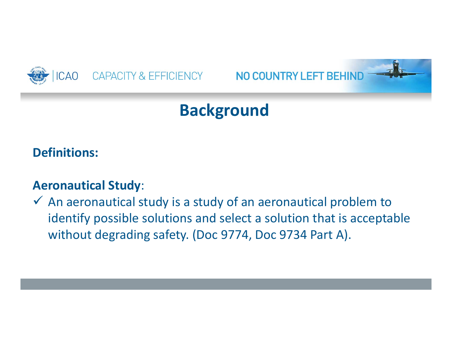

## NO COUNTRY LEFT BEHIND



## **Definitions:**

### **Aeronautical Study**:

 $\checkmark$  An aeronautical study is a study of an aeronautical problem to identify possible solutions and select a solution that is acceptable without degrading safety. (Doc 9774, Doc 9734 Part A).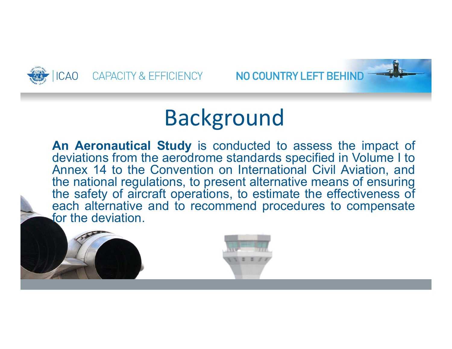

NO COUNTRY LEFT BEHIND

# Background

**An Aeronautical Study** is conducted to assess the impact of deviations from the aerodrome standards specified in Volume I to Annex 14 to the Convention on International Civil Aviation, and the national regulations, to present alternative means of ensuring the safety of aircraft operations, to estimate the effectiveness of each alternative and to recommend procedures to compensate for the deviation.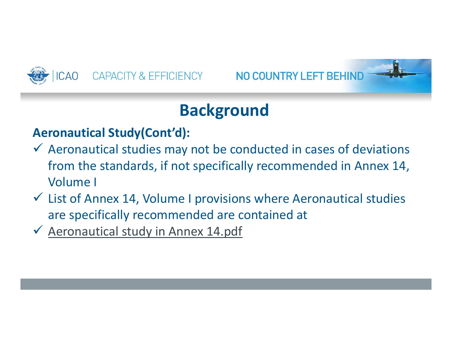

## NO COUNTRY LEFT BEHIND



# **Background**

## **Aeronautical Study(Cont'd):**

- $\checkmark$  Aeronautical studies may not be conducted in cases of deviations from the standards, if not specifically recommended in Annex 14, Volume I
- $\checkmark$  List of Annex 14, Volume I provisions where Aeronautical studies are specifically recommended are contained at
- Aeronautical study in Annex 14.pdf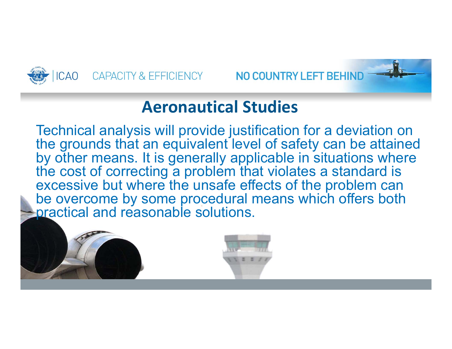

NO COUNTRY LEFT BEHIND

## **Aeronautical Studies**

Technical analysis will provide justification for a deviation on the grounds that an equivalent level of safety can be attained by other means. It is generally applicable in situations where the cost of correcting a problem that violates a standard is excessive but where the unsafe effects of the problem can be overcome by some procedural means which offers both practical and reasonable solutions.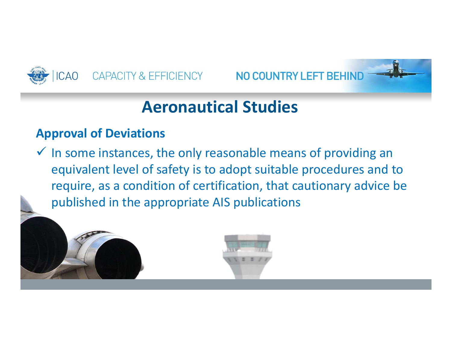

NO COUNTRY LEFT BEHIND

# **Aeronautical Studies**

### **Approval of Deviations**

 $\checkmark$  In some instances, the only reasonable means of providing an equivalent level of safety is to adopt suitable procedures and to require, as a condition of certification, that cautionary advice be published in the appropriate AIS publications

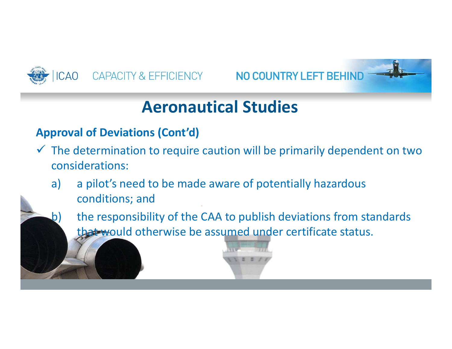

CAPACITY & EFFICIENCY NO COUNTRY LEFT BEHIND

# **Aeronautical Studies**

### **Approval of Deviations (Cont'd)**

- $\checkmark$  The determination to require caution will be primarily dependent on two considerations:
	- a) a pilot's need to be made aware of potentially hazardous conditions; and
	- b) the responsibility of the CAA to publish deviations from standards that would otherwise be assumed under certificate status.

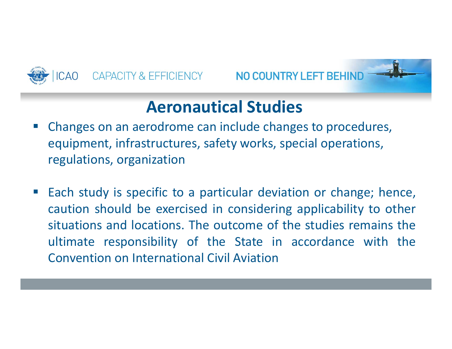

NO COUNTRY LEFT BEHIND

## **Aeronautical Studies**

- Changes on an aerodrome can include changes to procedures, equipment, infrastructures, safety works, special operations, regulations, organization
- Each study is specific to <sup>a</sup> particular deviation or change; hence, caution should be exercised in considering applicability to other situations and locations. The outcome of the studies remains the ultimate responsibility of the State in accordance with the Convention on International Civil Aviation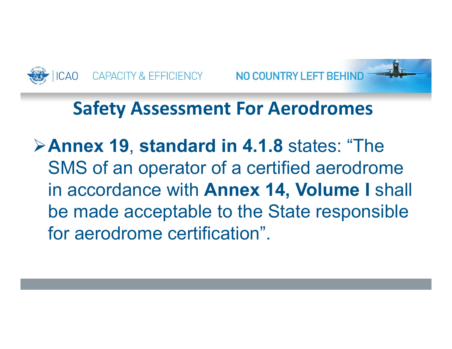



# **Safety Assessment For Aerodromes**

**Annex 19**, **standard in 4.1.8** states: "The SMS of an operator of a certified aerodrome in accordance with **Annex 14, Volume I** shall be made acceptable to the State responsible for aerodrome certification".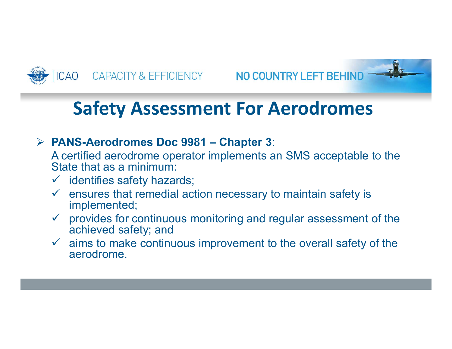



# **Safety Assessment For Aerodromes**

### **PANS-Aerodromes Doc 9981 – Chapter 3**:

A certified aerodrome operator implements an SMS acceptable to the State that as a minimum:

- identifies safety hazards;
- $\checkmark$  ensures that remedial action necessary to maintain safety is implemented;
- $\checkmark$  provides for continuous monitoring and regular assessment of the achieved safety; and
- $\checkmark$  aims to make continuous improvement to the overall safety of the aerodrome.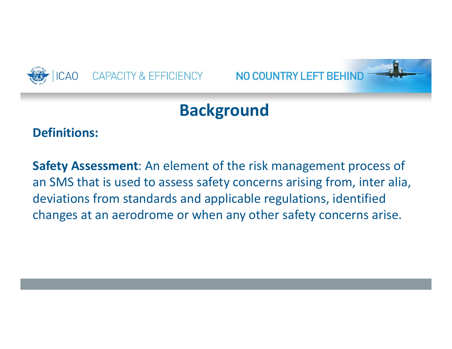

## NO COUNTRY LEFT BEHIND

# **Background**

### **Definitions:**

**Safety Assessment**: An element of the risk management process of an SMS that is used to assess safety concerns arising from, inter alia, deviations from standards and applicable regulations, identified changes at an aerodrome or when any other safety concerns arise.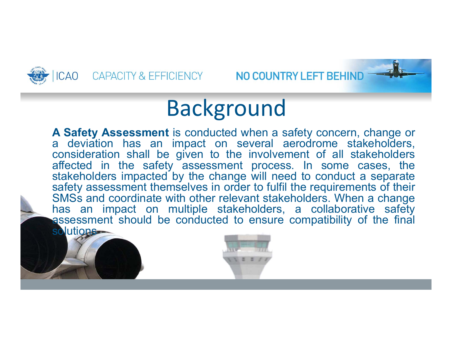



NO COUNTRY LEFT BEHIND

# Background

**A Safety Assessment** is conducted when <sup>a</sup> safety concern, change or <sup>a</sup> deviation has an impact on several aerodrome stakeholders, consideration shall be given to the involvement of all stakeholders affected in the safety assessment process. In some cases, the stakeholders impacted by the change will need to conduct <sup>a</sup> separate safety assessment themselves in order to fulfil the requirements of their SMSs and coordinate with other relevant stakeholders. When <sup>a</sup> change has an impact on multiple stakeholders, <sup>a</sup> collaborative safety assessment should be conducted to ensure compatibility of the final solutions-

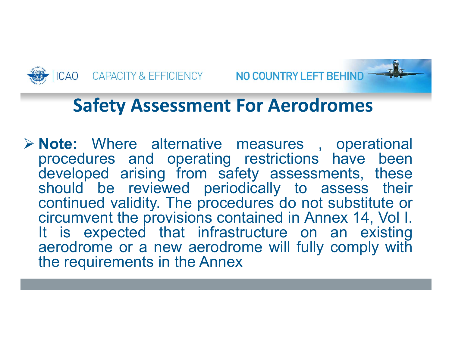

# **Safety Assessment For Aerodromes**

 **Note:** Where alternative measures , operational procedures and operating restrictions have been developed arising from safety assessments, these should be reviewed periodically to assess their continued validity. The procedures do not substitute or circumvent the provisions contained in Annex 14, Vol I. It is expected that infrastructure on an existing aerodrome or <sup>a</sup> new aerodrome will fully comply with the requirements in the Annex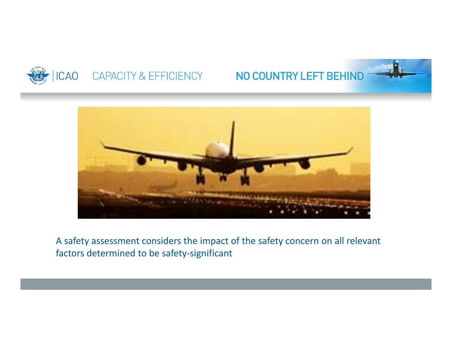

## NO COUNTRY LEFT BEHIND



A safety assessment considers the impact of the safety concern on all relevant factors determined to be safety‐significant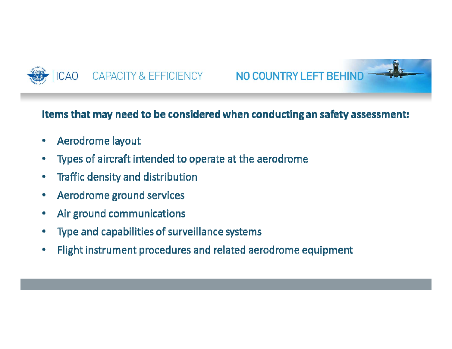



#### Items that may need to be considered when conducting an safety assessment:

- Aerodrome layout ۰
- Types of aircraft intended to operate at the aerodrome ۰
- Traffic density and distribution ۰
- Aerodrome ground services ۰
- Air ground communications ۰
- Type and capabilities of surveillance systems ۰
- Flight instrument procedures and related aerodrome equipment ۰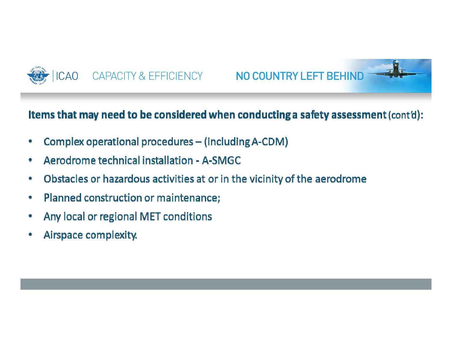



#### Items that may need to be considered when conducting a safety assessment (cont'd):

- Complex operational procedures (including A-CDM) ۰
- Aerodrome technical installation A-SMGC ۰
- Obstacles or hazardous activities at or in the vicinity of the aerodrome ۰
- Planned construction or maintenance; ۰
- Any local or regional MET conditions ۰
- Airspace complexity.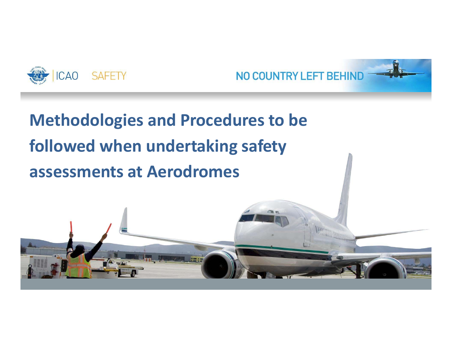



# **Methodologies and Procedures to be followed when undertaking safety assessments at Aerodromes**

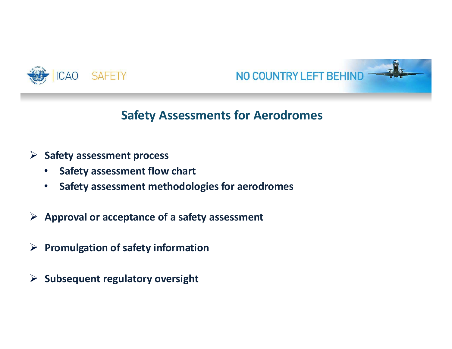



### **Safety Assessments for Aerodromes**

#### **Safety assessment process**

- •**Safety assessment flow chart**
- $\bullet$ **Safety assessment methodologies for aerodromes**
- **Approval or acceptance of a safety assessment**
- **Promulgation of safety information**
- **Subsequent regulatory oversight**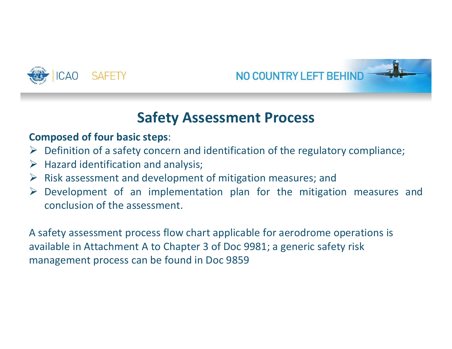



## **Safety Assessment Process**

#### **Composed of four basic steps**:

- $\triangleright$  Definition of a safety concern and identification of the regulatory compliance;
- $\triangleright$  Hazard identification and analysis;
- $\triangleright$  Risk assessment and development of mitigation measures; and
- $\triangleright$  Development of an implementation plan for the mitigation measures and conclusion of the assessment.

A safety assessment process flow chart applicable for aerodrome operations is available in Attachment A to Chapter 3 of Doc 9981; a generic safety risk management process can be found in Doc 9859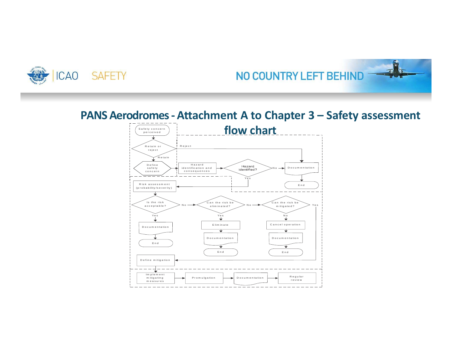

# NO COUNTRY LEFT BEHIND

### **PANS Aerodromes ‐ Attachment A to Chapter 3 – Safety assessment**

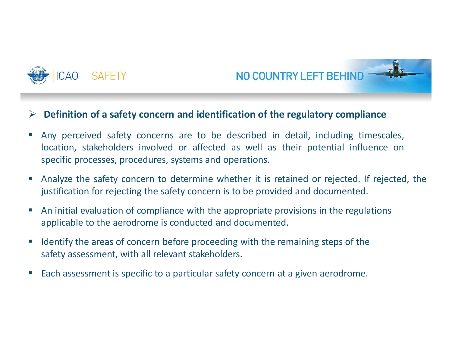



#### $\blacktriangleright$ Definition of a safety concern and identification of the regulatory compliance

- $\mathcal{L}_{\mathcal{A}}$  Any perceived safety concerns are to be described in detail, including timescales, location, stakeholders involved or affected as well as their potential influence on specific processes, procedures, systems and operations.
- ▁ Analyze the safety concern to determine whether it is retained or rejected. If rejected, the justification for rejecting the safety concern is to be provided and documented.
- $\mathcal{L}_{\mathcal{A}}$  An initial evaluation of compliance with the appropriate provisions in the regulations applicable to the aerodrome is conducted and documented.
- $\mathcal{L}_{\mathcal{A}}$  Identify the areas of concern before proceeding with the remaining steps of the safety assessment, with all relevant stakeholders.
- $\mathcal{L}_{\mathcal{A}}$ Each assessment is specific to <sup>a</sup> particular safety concern at <sup>a</sup> given aerodrome.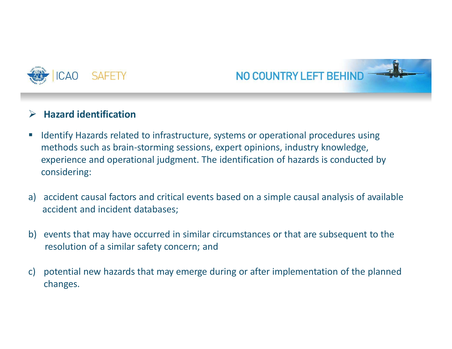



#### $\blacktriangleright$ **Hazard identification**

- $\mathcal{L}_{\mathcal{A}}$  Identify Hazards related to infrastructure, systems or operational procedures using methods such as brain‐storming sessions, expert opinions, industry knowledge, experience and operational judgment. The identification of hazards is conducted by considering:
- a) accident causal factors and critical events based on a simple causal analysis of available accident and incident databases;
- b) events that may have occurred in similar circumstances or that are subsequent to the resolution of a similar safety concern; and
- c) potential new hazards that may emerge during or after implementation of the planned changes.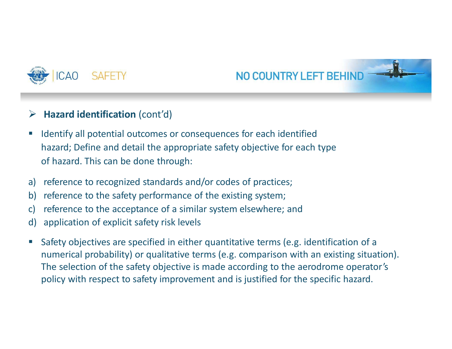



#### $\blacktriangleright$ **Hazard identification (cont'd)**

- $\mathcal{L}_{\mathcal{A}}$  Identify all potential outcomes or consequences for each identified hazard; Define and detail the appropriate safety objective for each type of hazard. This can be done through:
- a) reference to recognized standards and/or codes of practices;
- b) reference to the safety performance of the existing system;
- c) reference to the acceptance of a similar system elsewhere; and
- d) application of explicit safety risk levels
- $\mathcal{L}_{\mathcal{A}}$  Safety objectives are specified in either quantitative terms (e.g. identification of a numerical probability) or qualitative terms (e.g. comparison with an existing situation). The selection of the safety objective is made according to the aerodrome operator's policy with respect to safety improvement and is justified for the specific hazard.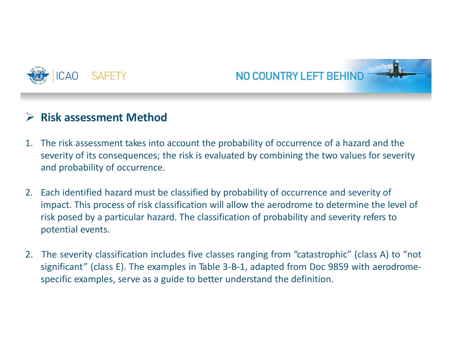



#### $\blacktriangleright$ **Risk assessment Method**

- 1. The risk assessment takes into account the probability of occurrence of a hazard and the severity of its consequences; the risk is evaluated by combining the two values for severity and probability of occurrence.
- 2. Each identified hazard must be classified by probability of occurrence and severity of impact. This process of risk classification will allow the aerodrome to determine the level of risk posed by a particular hazard. The classification of probability and severity refers to potential events.
- 2. The severity classification includes five classes ranging from "catastrophic" (class A) to "not significant" (class E). The examples in Table 3‐B‐1, adapted from Doc 9859 with aerodrome‐ specific examples, serve as <sup>a</sup> guide to better understand the definition.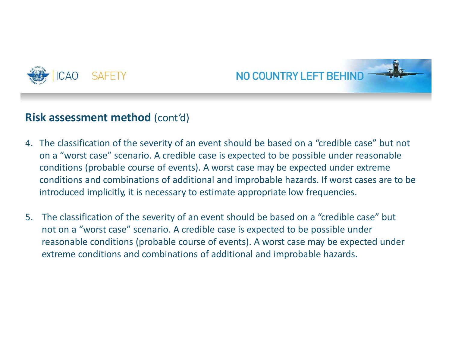



### **Risk assessment method** (cont'd)

- 4. The classification of the severity of an event should be based on a "credible case" but not on a "worst case" scenario. A credible case is expected to be possible under reasonable conditions (probable course of events). A worst case may be expected under extreme conditions and combinations of additional and improbable hazards. If worst cases are to be introduced implicitly, it is necessary to estimate appropriate low frequencies.
- 5. The classification of the severity of an event should be based on <sup>a</sup>"credible case" but not on a "worst case" scenario. A credible case is expected to be possible under reasonable conditions (probable course of events). A worst case may be expected under extreme conditions and combinations of additional and improbable hazards.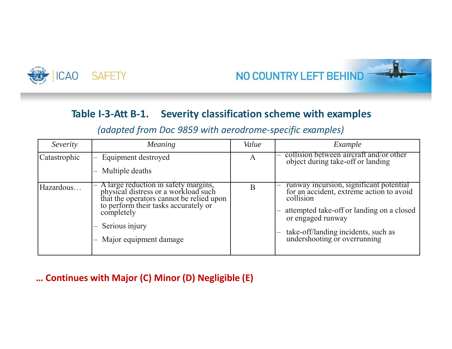



#### **Table I‐3‐Att B‐1. Severity classification scheme with examples**

| Severity     | <b>Meaning</b>                                                                                                                                                                                                             | Value | Example                                                                                                                                                                                                                                   |
|--------------|----------------------------------------------------------------------------------------------------------------------------------------------------------------------------------------------------------------------------|-------|-------------------------------------------------------------------------------------------------------------------------------------------------------------------------------------------------------------------------------------------|
| Catastrophic | Equipment destroyed<br>Multiple deaths                                                                                                                                                                                     | A     | collision between aircraft and/or other<br>object during take-off or landing                                                                                                                                                              |
| Hazardous    | A large reduction in safety margins,<br>physical distress or a workload such<br>that the operators cannot be relied upon<br>to perform their tasks accurately or<br>completely<br>Serious injury<br>Major equipment damage | B     | runway incursion, significant potential<br>for an accident, extreme action to avoid<br>collision<br>attempted take-off or landing on a closed<br>or engaged runway<br>take-off/landing incidents, such as<br>undershooting or overrunning |

*(adapted from Doc 9859 with aerodrome‐specific examples)*

#### **… Continues with Major (C) Minor (D) Negligible (E)**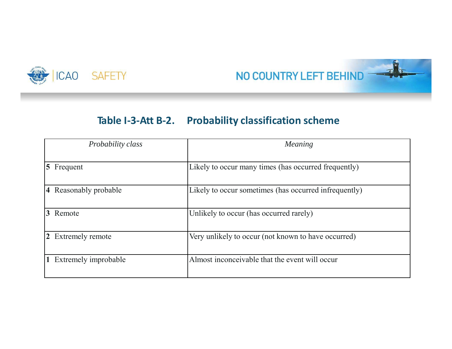



#### **Table I‐3‐Att B‐2. Probability classification scheme**

| Probability class      | Meaning                                               |
|------------------------|-------------------------------------------------------|
| $ 5 \text{Frequent}$   | Likely to occur many times (has occurred frequently)  |
| 4 Reasonably probable  | Likely to occur sometimes (has occurred infrequently) |
| 3 Remote               | Unlikely to occur (has occurred rarely)               |
| 2 Extremely remote     | Very unlikely to occur (not known to have occurred)   |
| 1 Extremely improbable | Almost inconceivable that the event will occur        |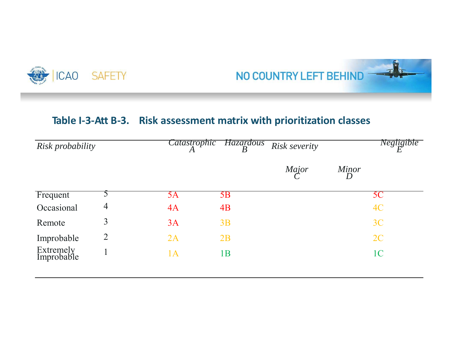



#### **Table I‐3‐Att B‐3. Risk assessment matrix with prioritization classes**

| Risk probability        |                | <i>Catastrophic</i> | <b>Hazardous</b><br>$\boldsymbol{B}$ | Risk severity |            | Negligible<br>F |
|-------------------------|----------------|---------------------|--------------------------------------|---------------|------------|-----------------|
|                         |                |                     |                                      | Major         | Minor<br>D |                 |
| Frequent                |                | 5Α                  | 5B                                   |               |            | 5C              |
| Occasional              | $\overline{4}$ | 4A                  | 4B                                   |               |            | 4C              |
| Remote                  | 3              | 3A                  | 3B                                   |               |            | 3C              |
| Improbable              | $\overline{2}$ | 2A                  | 2B                                   |               |            | 2C              |
| Extremely<br>Improbable |                | 1A                  | 1B                                   |               |            | 1 <sub>C</sub>  |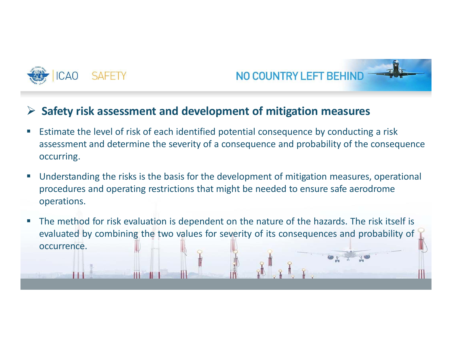



#### $\blacktriangleright$ **Safety risk assessment and development of mitigation measures**

- F. Estimate the level of risk of each identified potential consequence by conducting a risk assessment and determine the severity of a consequence and probability of the consequence occurring.
- H. Understanding the risks is the basis for the development of mitigation measures, operational procedures and operating restrictions that might be needed to ensure safe aerodrome operations.
- H. The method for risk evaluation is dependent on the nature of the hazards. The risk itself is evaluated by combining the two values for severity of its consequences and probability of occurrence.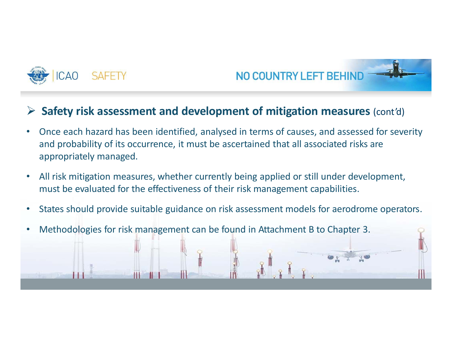



#### $\blacktriangleright$ **Safety risk assessment and development of mitigation measures** (cont'd)

- • Once each hazard has been identified, analysed in terms of causes, and assessed for severity and probability of its occurrence, it must be ascertained that all associated risks are appropriately managed.
- $\bullet$  All risk mitigation measures, whether currently being applied or still under development, must be evaluated for the effectiveness of their risk management capabilities.
- $\bullet$ States should provide suitable guidance on risk assessment models for aerodrome operators.
- •Methodologies for risk management can be found in Attachment B to Chapter 3.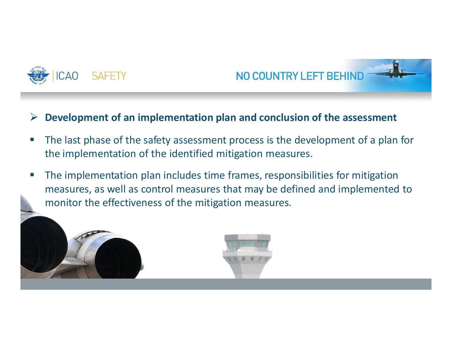



#### $\sum_{i=1}^{n}$ **Development of an implementation plan and conclusion of the assessment**

- e<br>Li The last phase of the safety assessment process is the development of a plan for the implementation of the identified mitigation measures.
- $\mathcal{L}_{\mathcal{A}}$  The implementation plan includes time frames, responsibilities for mitigation measures, as well as control measures that may be defined and implemented to monitor the effectiveness of the mitigation measures.

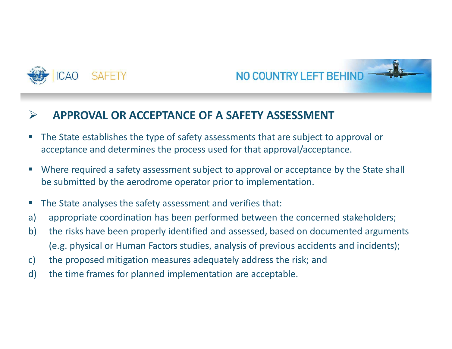



#### $\triangleright$ **APPROVAL OR ACCEPTANCE OF A SAFETY ASSESSMENT**

- $\mathcal{L}_{\mathcal{A}}$  The State establishes the type of safety assessments that are subject to approval or acceptance and determines the process used for that approval/acceptance.
- П Where required <sup>a</sup> safety assessment subject to approval or acceptance by the State shall be submitted by the aerodrome operator prior to implementation.
- $\mathcal{L}_{\mathcal{A}}$ The State analyses the safety assessment and verifies that:
- a) appropriate coordination has been performed between the concerned stakeholders;
- b) the risks have been properly identified and assessed, based on documented arguments (e.g. physical or Human Factors studies, analysis of previous accidents and incidents);
- c) the proposed mitigation measures adequately address the risk; and
- d) the time frames for planned implementation are acceptable.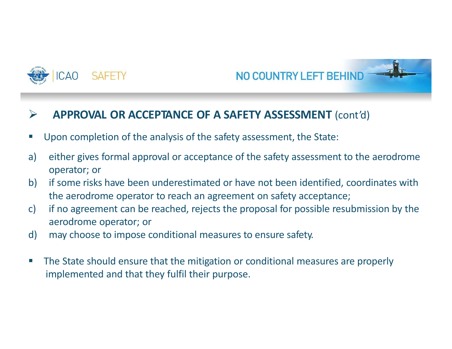



#### $\blacktriangleright$ **APPROVAL OR ACCEPTANCE OF A SAFETY ASSESSMENT** (cont'd)

- $\Box$ Upon completion of the analysis of the safety assessment, the State:
- a) either gives formal approval or acceptance of the safety assessment to the aerodrome operator; or
- b) if some risks have been underestimated or have not been identified, coordinates with the aerodrome operator to reach an agreement on safety acceptance;
- c) if no agreement can be reached, rejects the proposal for possible resubmission by the aerodrome operator; or
- d) may choose to impose conditional measures to ensure safety.
- $\mathcal{C}^{\mathcal{A}}$  The State should ensure that the mitigation or conditional measures are properly implemented and that they fulfil their purpose.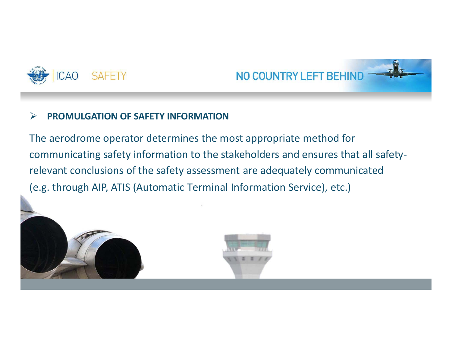



#### $\blacktriangleright$ **PROMULGATION OF SAFETY INFORMATION**

The aerodrome operator determines the most appropriate method for communicating safety information to the stakeholders and ensures that all safety‐ relevant conclusions of the safety assessment are adequately communicated (e.g. through AIP, ATIS (Automatic Terminal Information Service), etc.)

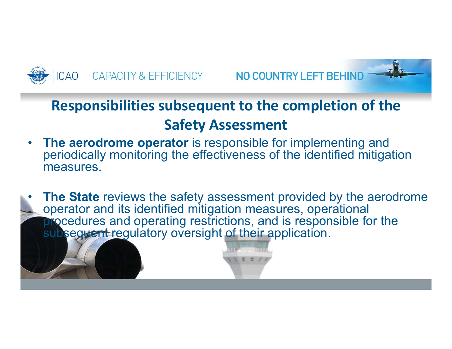



## **Responsibilities subsequent to the completion of the Safety Assessment**

- • **The aerodrome operator** is responsible for implementing and periodically monitoring the effectiveness of the identified mitigation measures.
- • **The State** reviews the safety assessment provided by the aerodrome operator and its identified mitigation measures, operational procedures and operating restrictions, and is responsible for the subsequent regulatory oversight of their application.